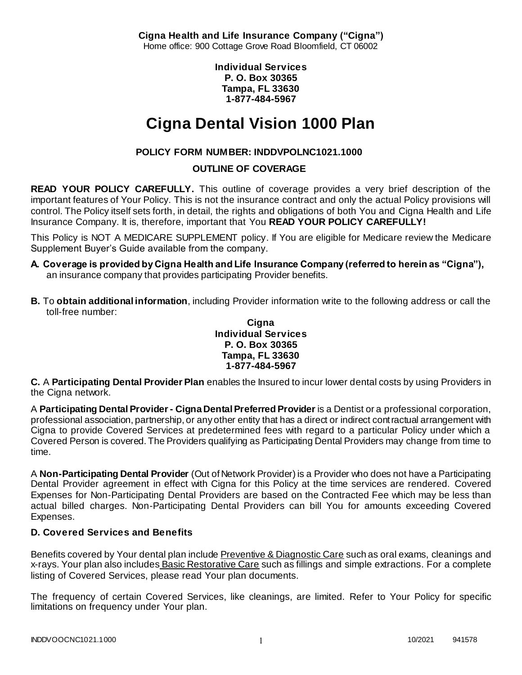**Cigna Health and Life Insurance Company ("Cigna")** Home office: 900 Cottage Grove Road Bloomfield, CT 06002

> **Individual Services P. O. Box 30365 Tampa, FL 33630 1-877-484-5967**

# **Cigna Dental Vision 1000 Plan**

# **POLICY FORM NUMBER: INDDVPOLNC1021.1000**

### **OUTLINE OF COVERAGE**

**READ YOUR POLICY CAREFULLY.** This outline of coverage provides a very brief description of the important features of Your Policy. This is not the insurance contract and only the actual Policy provisions will control. The Policy itself sets forth, in detail, the rights and obligations of both You and Cigna Health and Life Insurance Company. It is, therefore, important that You **READ YOUR POLICY CAREFULLY!** 

This Policy is NOT A MEDICARE SUPPLEMENT policy. If You are eligible for Medicare review the Medicare Supplement Buyer's Guide available from the company.

- **A. Coverage is provided by Cigna Health and Life Insurance Company (referred to herein as "Cigna"),**  an insurance company that provides participating Provider benefits.
- **B.** To **obtain additional information**, including Provider information write to the following address or call the toll-free number:

### **Cigna Individual Services P. O. Box 30365 Tampa, FL 33630 1-877-484-5967**

**C.** A **Participating Dental Provider Plan** enables the Insured to incur lower dental costs by using Providers in the Cigna network.

A **Participating Dental Provider - Cigna Dental Preferred Provider** is a Dentist or a professional corporation, professional association, partnership, or any other entity that has a direct or indirect contractual arrangement with Cigna to provide Covered Services at predetermined fees with regard to a particular Policy under which a Covered Person is covered. The Providers qualifying as Participating Dental Providers may change from time to time.

A **Non-Participating Dental Provider** (Out of Network Provider) is a Provider who does not have a Participating Dental Provider agreement in effect with Cigna for this Policy at the time services are rendered. Covered Expenses for Non-Participating Dental Providers are based on the Contracted Fee which may be less than actual billed charges. Non-Participating Dental Providers can bill You for amounts exceeding Covered Expenses.

# **D. Covered Services and Benefits**

Benefits covered by Your dental plan include Preventive & Diagnostic Care such as oral exams, cleanings and x-rays. Your plan also includes Basic Restorative Care such as fillings and simple extractions. For a complete listing of Covered Services, please read Your plan documents.

The frequency of certain Covered Services, like cleanings, are limited. Refer to Your Policy for specific limitations on frequency under Your plan.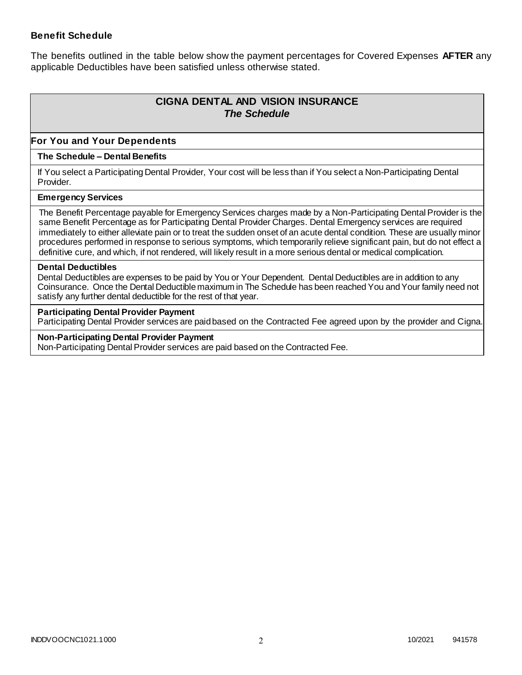### **Benefit Schedule**

The benefits outlined in the table below show the payment percentages for Covered Expenses **AFTER** any applicable Deductibles have been satisfied unless otherwise stated.

# **CIGNA DENTAL AND VISION INSURANCE** *The Schedule*

### **For You and Your Dependents**

#### **The Schedule – Dental Benefits**

If You select a Participating Dental Provider, Your cost will be less than if You select a Non-Participating Dental Provider.

#### **Emergency Services**

The Benefit Percentage payable for Emergency Services charges made by a Non-Participating Dental Provider is the same Benefit Percentage as for Participating Dental Provider Charges. Dental Emergency services are required immediately to either alleviate pain or to treat the sudden onset of an acute dental condition. These are usually minor procedures performed in response to serious symptoms, which temporarily relieve significant pain, but do not effect a definitive cure, and which, if not rendered, will likely result in a more serious dental or medical complication.

#### **Dental Deductibles**

Dental Deductibles are expenses to be paid by You or Your Dependent. Dental Deductibles are in addition to any Coinsurance. Once the Dental Deductible maximum in The Schedule has been reached You and Your family need not satisfy any further dental deductible for the rest of that year.

#### **Participating Dental Provider Payment**

Participating Dental Provider services are paid based on the Contracted Fee agreed upon by the provider and Cigna.

**Non-Participating Dental Provider Payment** Non-Participating Dental Provider services are paid based on the Contracted Fee.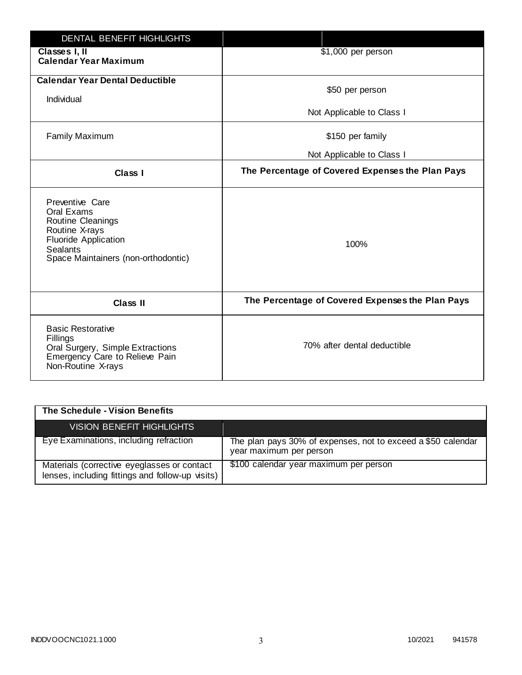| <b>DENTAL BENEFIT HIGHLIGHTS</b>                                                                                                                              |                                                  |
|---------------------------------------------------------------------------------------------------------------------------------------------------------------|--------------------------------------------------|
| Classes I, II<br><b>Calendar Year Maximum</b>                                                                                                                 | \$1,000 per person                               |
| <b>Calendar Year Dental Deductible</b><br>Individual                                                                                                          | \$50 per person                                  |
|                                                                                                                                                               | Not Applicable to Class I                        |
| <b>Family Maximum</b>                                                                                                                                         | \$150 per family                                 |
|                                                                                                                                                               | Not Applicable to Class I                        |
| <b>Class I</b>                                                                                                                                                | The Percentage of Covered Expenses the Plan Pays |
| Preventive Care<br>Oral Exams<br>Routine Cleanings<br>Routine X-rays<br><b>Fluoride Application</b><br><b>Sealants</b><br>Space Maintainers (non-orthodontic) | 100%                                             |
| <b>Class II</b>                                                                                                                                               | The Percentage of Covered Expenses the Plan Pays |
| <b>Basic Restorative</b><br>Fillings<br>Oral Surgery, Simple Extractions<br>Emergency Care to Relieve Pain<br>Non-Routine X-rays                              | 70% after dental deductible                      |

| The Schedule - Vision Benefits                                                                  |                                                                                         |
|-------------------------------------------------------------------------------------------------|-----------------------------------------------------------------------------------------|
| VISION BENEFIT HIGHLIGHTS                                                                       |                                                                                         |
| Eye Examinations, including refraction                                                          | The plan pays 30% of expenses, not to exceed a \$50 calendar<br>year maximum per person |
| Materials (corrective eyeglasses or contact<br>lenses, including fittings and follow-up visits) | \$100 calendar year maximum per person                                                  |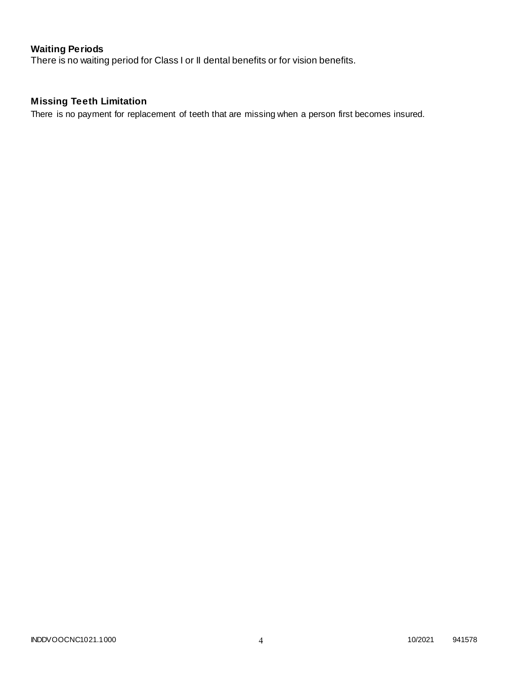# **Waiting Periods**

There is no waiting period for Class I or II dental benefits or for vision benefits.

# **Missing Teeth Limitation**

There is no payment for replacement of teeth that are missing when a person first becomes insured.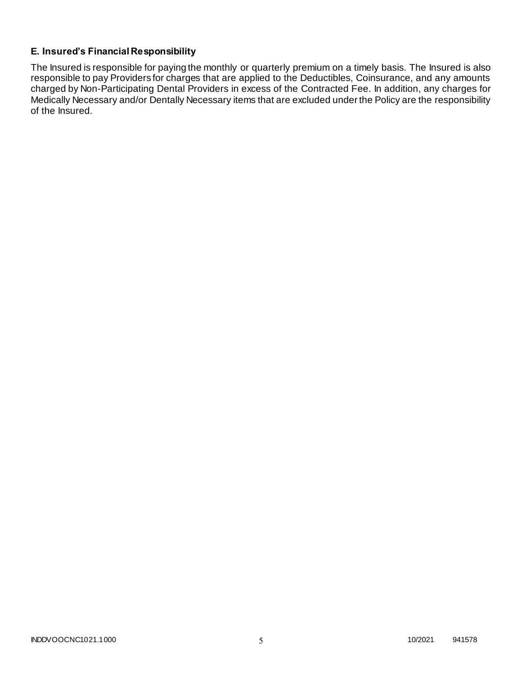### **E. Insured's Financial Responsibility**

The Insured is responsible for paying the monthly or quarterly premium on a timely basis. The Insured is also responsible to pay Providers for charges that are applied to the Deductibles, Coinsurance, and any amounts charged by Non-Participating Dental Providers in excess of the Contracted Fee. In addition, any charges for Medically Necessary and/or Dentally Necessary items that are excluded under the Policy are the responsibility of the Insured.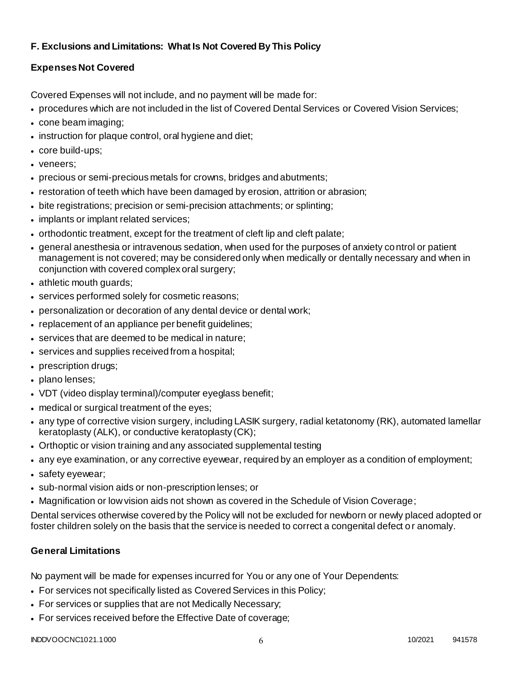### **F. Exclusions and Limitations: What Is Not Covered By This Policy**

# **Expenses Not Covered**

Covered Expenses will not include, and no payment will be made for:

- procedures which are not included in the list of Covered Dental Services or Covered Vision Services;
- cone beam imaging;
- instruction for plaque control, oral hygiene and diet;
- core build-ups;
- veneers;
- precious or semi-precious metals for crowns, bridges and abutments;
- restoration of teeth which have been damaged by erosion, attrition or abrasion;
- bite registrations; precision or semi-precision attachments; or splinting;
- implants or implant related services;
- orthodontic treatment, except for the treatment of cleft lip and cleft palate;
- general anesthesia or intravenous sedation, when used for the purposes of anxiety control or patient management is not covered; may be considered only when medically or dentally necessary and when in conjunction with covered complex oral surgery;
- athletic mouth guards;
- services performed solely for cosmetic reasons;
- personalization or decoration of any dental device or dental work;
- replacement of an appliance per benefit quidelines;
- services that are deemed to be medical in nature;
- services and supplies received from a hospital;
- prescription drugs;
- plano lenses;
- VDT (video display terminal)/computer eyeglass benefit;
- medical or surgical treatment of the eyes;
- any type of corrective vision surgery, including LASIK surgery, radial ketatonomy (RK), automated lamellar keratoplasty (ALK), or conductive keratoplasty (CK);
- Orthoptic or vision training and any associated supplemental testing
- any eye examination, or any corrective eyewear, required by an employer as a condition of employment;
- safety eyewear;
- sub-normal vision aids or non-prescription lenses; or
- Magnification or low vision aids not shown as covered in the Schedule of Vision Coverage;

Dental services otherwise covered by the Policy will not be excluded for newborn or newly placed adopted or foster children solely on the basis that the service is needed to correct a congenital defect or anomaly.

# **General Limitations**

No payment will be made for expenses incurred for You or any one of Your Dependents:

- For services not specifically listed as Covered Services in this Policy;
- For services or supplies that are not Medically Necessary;
- For services received before the Effective Date of coverage;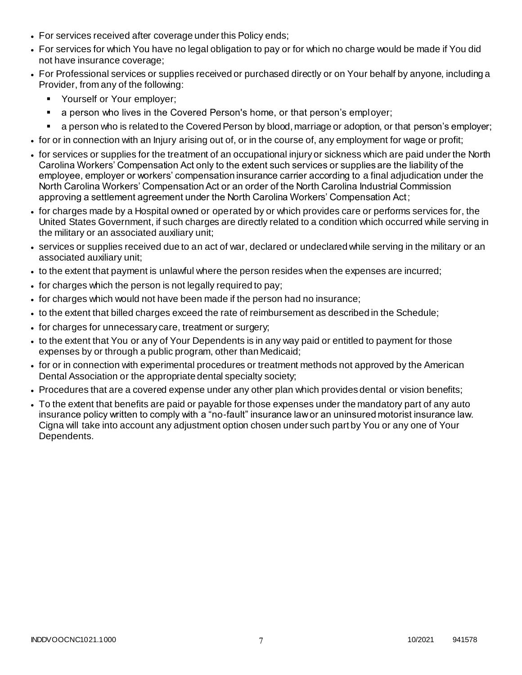- For services received after coverage under this Policy ends;
- For services for which You have no legal obligation to pay or for which no charge would be made if You did not have insurance coverage;
- For Professional services or supplies received or purchased directly or on Your behalf by anyone, including a Provider, from any of the following:
	- **Yourself or Your employer;**
	- a person who lives in the Covered Person's home, or that person's employer;
	- a person who is related to the Covered Person by blood, marriage or adoption, or that person's employer;
- for or in connection with an Injury arising out of, or in the course of, any employment for wage or profit;
- for services or supplies for the treatment of an occupational injury or sickness which are paid under the North Carolina Workers' Compensation Act only to the extent such services or supplies are the liability of the employee, employer or workers' compensation insurance carrier according to a final adjudication under the North Carolina Workers' Compensation Act or an order of the North Carolina Industrial Commission approving a settlement agreement under the North Carolina Workers' Compensation Act;
- for charges made by a Hospital owned or operated by or which provides care or performs services for, the United States Government, if such charges are directly related to a condition which occurred while serving in the military or an associated auxiliary unit;
- services or supplies received due to an act of war, declared or undeclared while serving in the military or an associated auxiliary unit;
- to the extent that payment is unlawful where the person resides when the expenses are incurred;
- for charges which the person is not legally required to pay;
- for charges which would not have been made if the person had no insurance;
- to the extent that billed charges exceed the rate of reimbursement as described in the Schedule;
- for charges for unnecessary care, treatment or surgery;
- to the extent that You or any of Your Dependents is in any way paid or entitled to payment for those expenses by or through a public program, other than Medicaid;
- for or in connection with experimental procedures or treatment methods not approved by the American Dental Association or the appropriate dental specialty society;
- Procedures that are a covered expense under any other plan which provides dental or vision benefits;
- To the extent that benefits are paid or payable for those expenses under the mandatory part of any auto insurance policy written to comply with a "no-fault" insurance law or an uninsured motorist insurance law. Cigna will take into account any adjustment option chosen under such part by You or any one of Your Dependents.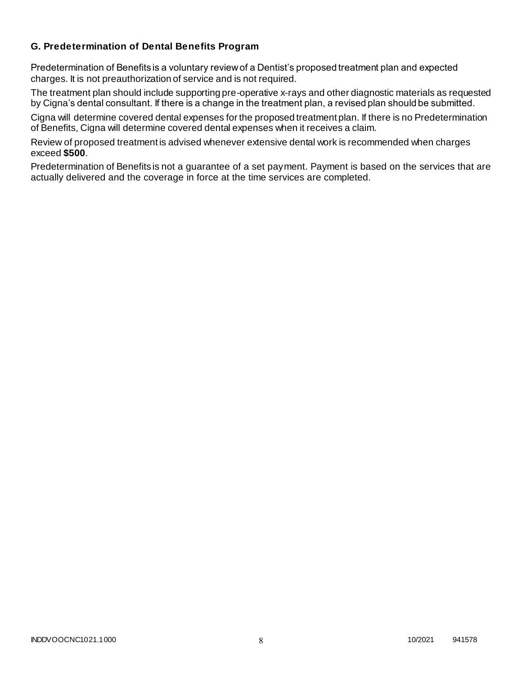### **G. Predetermination of Dental Benefits Program**

Predetermination of Benefits is a voluntary review of a Dentist's proposed treatment plan and expected charges. It is not preauthorization of service and is not required.

The treatment plan should include supporting pre-operative x-rays and other diagnostic materials as requested by Cigna's dental consultant. If there is a change in the treatment plan, a revised plan should be submitted.

Cigna will determine covered dental expenses for the proposed treatment plan. If there is no Predetermination of Benefits, Cigna will determine covered dental expenses when it receives a claim.

Review of proposed treatment is advised whenever extensive dental work is recommended when charges exceed **\$500**.

Predetermination of Benefits is not a guarantee of a set payment. Payment is based on the services that are actually delivered and the coverage in force at the time services are completed.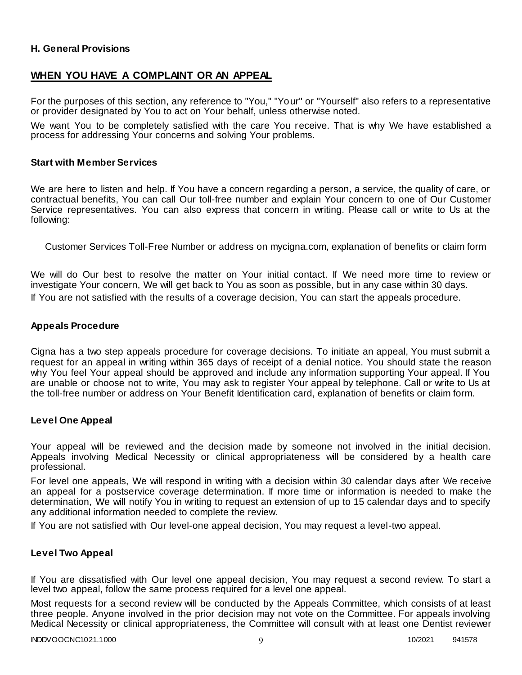### **H. General Provisions**

### **WHEN YOU HAVE A COMPLAINT OR AN APPEAL**

For the purposes of this section, any reference to "You," "Your" or "Yourself" also refers to a representative or provider designated by You to act on Your behalf, unless otherwise noted.

We want You to be completely satisfied with the care You receive. That is why We have established a process for addressing Your concerns and solving Your problems.

#### **Start with Member Services**

We are here to listen and help. If You have a concern regarding a person, a service, the quality of care, or contractual benefits, You can call Our toll-free number and explain Your concern to one of Our Customer Service representatives. You can also express that concern in writing. Please call or write to Us at the following:

Customer Services Toll-Free Number or address on mycigna.com, explanation of benefits or claim form

We will do Our best to resolve the matter on Your initial contact. If We need more time to review or investigate Your concern, We will get back to You as soon as possible, but in any case within 30 days. If You are not satisfied with the results of a coverage decision, You can start the appeals procedure.

#### **Appeals Procedure**

Cigna has a two step appeals procedure for coverage decisions. To initiate an appeal, You must submit a request for an appeal in writing within 365 days of receipt of a denial notice. You should state t he reason why You feel Your appeal should be approved and include any information supporting Your appeal. If You are unable or choose not to write, You may ask to register Your appeal by telephone. Call or write to Us at the toll-free number or address on Your Benefit Identification card, explanation of benefits or claim form.

#### **Level One Appeal**

Your appeal will be reviewed and the decision made by someone not involved in the initial decision. Appeals involving Medical Necessity or clinical appropriateness will be considered by a health care professional.

For level one appeals, We will respond in writing with a decision within 30 calendar days after We receive an appeal for a postservice coverage determination. If more time or information is needed to make the determination, We will notify You in writing to request an extension of up to 15 calendar days and to specify any additional information needed to complete the review.

If You are not satisfied with Our level-one appeal decision, You may request a level-two appeal.

### **Level Two Appeal**

If You are dissatisfied with Our level one appeal decision, You may request a second review. To start a level two appeal, follow the same process required for a level one appeal.

Most requests for a second review will be conducted by the Appeals Committee, which consists of at least three people. Anyone involved in the prior decision may not vote on the Committee. For appeals involving Medical Necessity or clinical appropriateness, the Committee will consult with at least one Dentist reviewer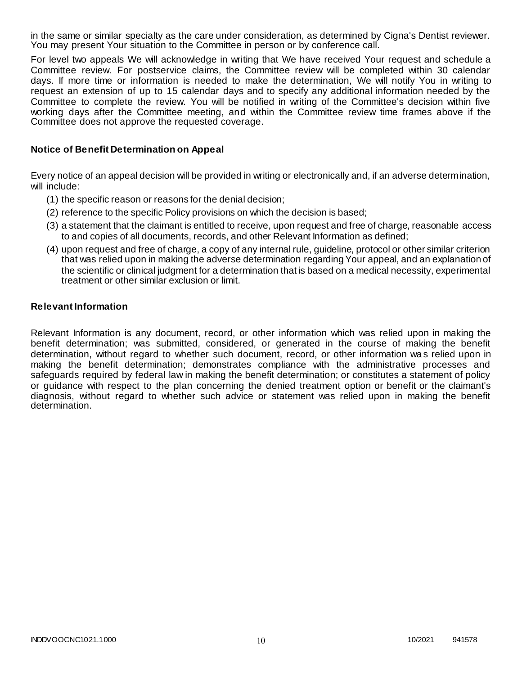in the same or similar specialty as the care under consideration, as determined by Cigna's Dentist reviewer. You may present Your situation to the Committee in person or by conference call.

For level two appeals We will acknowledge in writing that We have received Your request and schedule a Committee review. For postservice claims, the Committee review will be completed within 30 calendar days. If more time or information is needed to make the determination, We will notify You in writing to request an extension of up to 15 calendar days and to specify any additional information needed by the Committee to complete the review. You will be notified in writing of the Committee's decision within five working days after the Committee meeting, and within the Committee review time frames above if the Committee does not approve the requested coverage.

### **Notice of Benefit Determination on Appeal**

Every notice of an appeal decision will be provided in writing or electronically and, if an adverse determination, will include:

- (1) the specific reason or reasons for the denial decision;
- (2) reference to the specific Policy provisions on which the decision is based;
- (3) a statement that the claimant is entitled to receive, upon request and free of charge, reasonable access to and copies of all documents, records, and other Relevant Information as defined;
- (4) upon request and free of charge, a copy of any internal rule, guideline, protocol or other similar criterion that was relied upon in making the adverse determination regarding Your appeal, and an explanation of the scientific or clinical judgment for a determination that is based on a medical necessity, experimental treatment or other similar exclusion or limit.

#### **Relevant Information**

Relevant Information is any document, record, or other information which was relied upon in making the benefit determination; was submitted, considered, or generated in the course of making the benefit determination, without regard to whether such document, record, or other information was relied upon in making the benefit determination; demonstrates compliance with the administrative processes and safeguards required by federal law in making the benefit determination; or constitutes a statement of policy or guidance with respect to the plan concerning the denied treatment option or benefit or the claimant's diagnosis, without regard to whether such advice or statement was relied upon in making the benefit determination.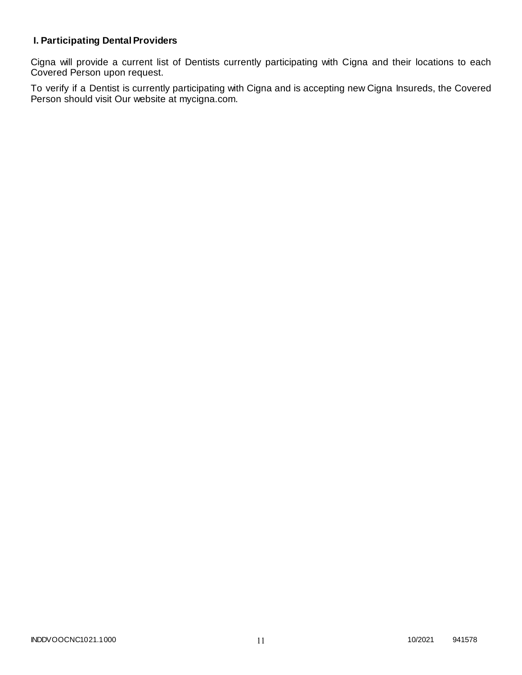# **I. Participating Dental Providers**

Cigna will provide a current list of Dentists currently participating with Cigna and their locations to each Covered Person upon request.

To verify if a Dentist is currently participating with Cigna and is accepting new Cigna Insureds, the Covered Person should visit Our website at mycigna.com.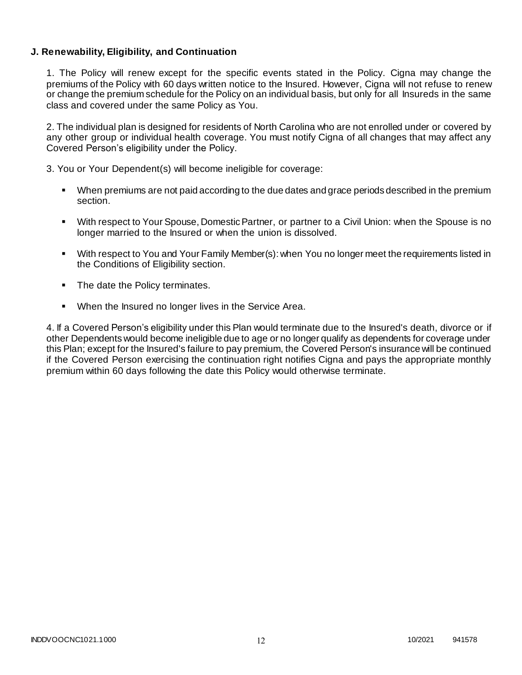### **J. Renewability, Eligibility, and Continuation**

1. The Policy will renew except for the specific events stated in the Policy. Cigna may change the premiums of the Policy with 60 days written notice to the Insured. However, Cigna will not refuse to renew or change the premium schedule for the Policy on an individual basis, but only for all Insureds in the same class and covered under the same Policy as You.

2. The individual plan is designed for residents of North Carolina who are not enrolled under or covered by any other group or individual health coverage. You must notify Cigna of all changes that may affect any Covered Person's eligibility under the Policy.

3. You or Your Dependent(s) will become ineligible for coverage:

- When premiums are not paid according to the due dates and grace periods described in the premium section.
- With respect to Your Spouse, Domestic Partner, or partner to a Civil Union: when the Spouse is no longer married to the Insured or when the union is dissolved.
- With respect to You and Your Family Member(s): when You no longer meet the requirements listed in the Conditions of Eligibility section.
- The date the Policy terminates.
- **When the Insured no longer lives in the Service Area.**

4. If a Covered Person's eligibility under this Plan would terminate due to the Insured's death, divorce or if other Dependents would become ineligible due to age or no longer qualify as dependents for coverage under this Plan; except for the Insured's failure to pay premium, the Covered Person's insurance will be continued if the Covered Person exercising the continuation right notifies Cigna and pays the appropriate monthly premium within 60 days following the date this Policy would otherwise terminate.